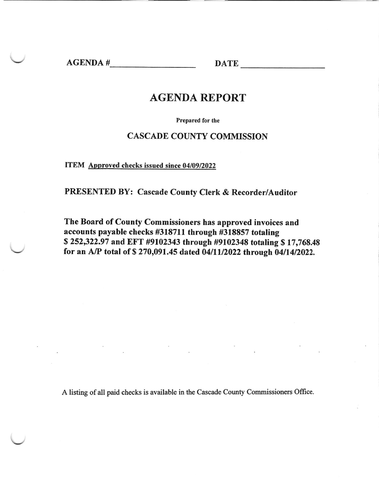AGENDA # DATE

# AGENDA REPORT

Prepared for the

### CASCADE COUNTY COMMISSION

ITEM Approved checks issued since 04/09/2022

PRESENTED BY: Cascade County Clerk & Recorder/Auditor

The Board of County Commissioners has approved invoices and accounts payable checks #318711 through #318857 totaling \$252322.97 and EFT #9102343 through #9102348 totaling \$17,768.48 for an A/P total of  $$ 270,091.45$  dated 04/11/2022 through 04/14/2022.

A listing of all paid checks is available in the Cascade County Commissioners Office.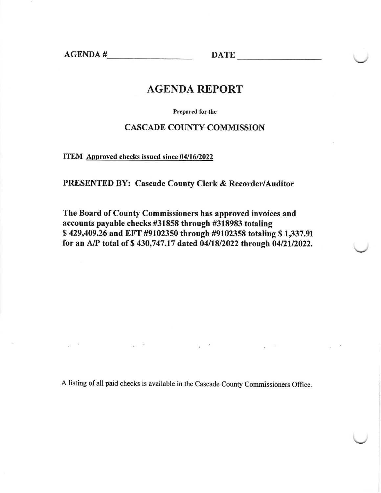AGENDA # DATE

## AGENDA REPORT

Prepared for the

### CASCADE COUNTY COMMISSION

ITEM Approved checks issued since 04/16/2022

PRESENTED BY: Cascade County Clerk & Recorder/Auditor

The Board of County Commissioners has approved invoices and accounts payable checks #31858 through #318983 totaling S 429409.26 and EFT #9102350 through #9102358 totaling \$ 1,337.91 for an A/P total of \$ 430,747.17 dated 0411812022 through 0412112022.

A listing of all paid checks is available in the Cascade County Commissioners Office.

 $\sim$   $\sim$